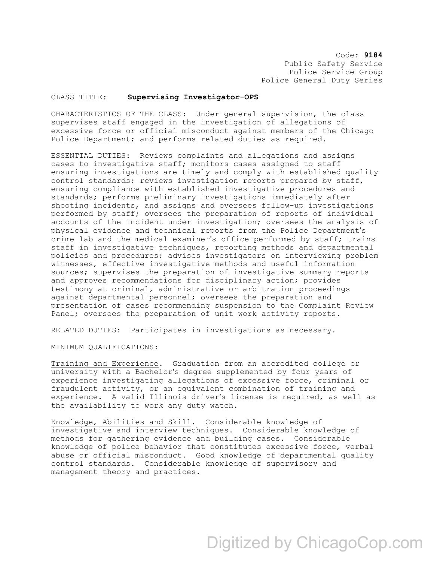Code: **9184** Public Safety Service Police Service Group Police General Duty Series

## CLASS TITLE: **Supervising Investigator-OPS**

CHARACTERISTICS OF THE CLASS: Under general supervision, the class supervises staff engaged in the investigation of allegations of excessive force or official misconduct against members of the Chicago Police Department; and performs related duties as required.

ESSENTIAL DUTIES: Reviews complaints and allegations and assigns cases to investigative staff; monitors cases assigned to staff ensuring investigations are timely and comply with established quality control standards; reviews investigation reports prepared by staff, ensuring compliance with established investigative procedures and standards; performs preliminary investigations immediately after shooting incidents, and assigns and oversees follow-up investigations performed by staff; oversees the preparation of reports of individual accounts of the incident under investigation; oversees the analysis of physical evidence and technical reports from the Police Department's crime lab and the medical examiner's office performed by staff; trains staff in investigative techniques, reporting methods and departmental policies and procedures; advises investigators on interviewing problem witnesses, effective investigative methods and useful information sources; supervises the preparation of investigative summary reports and approves recommendations for disciplinary action; provides testimony at criminal, administrative or arbitration proceedings against departmental personnel; oversees the preparation and presentation of cases recommending suspension to the Complaint Review Panel; oversees the preparation of unit work activity reports.

RELATED DUTIES: Participates in investigations as necessary.

MINIMUM QUALIFICATIONS:

Training and Experience. Graduation from an accredited college or university with a Bachelor's degree supplemented by four years of experience investigating allegations of excessive force, criminal or fraudulent activity, or an equivalent combination of training and experience. A valid Illinois driver's license is required, as well as the availability to work any duty watch.

Knowledge, Abilities and Skill. Considerable knowledge of investigative and interview techniques. Considerable knowledge of methods for gathering evidence and building cases. Considerable knowledge of police behavior that constitutes excessive force, verbal abuse or official misconduct. Good knowledge of departmental quality control standards. Considerable knowledge of supervisory and management theory and practices.

## Digitized by ChicagoCop.com